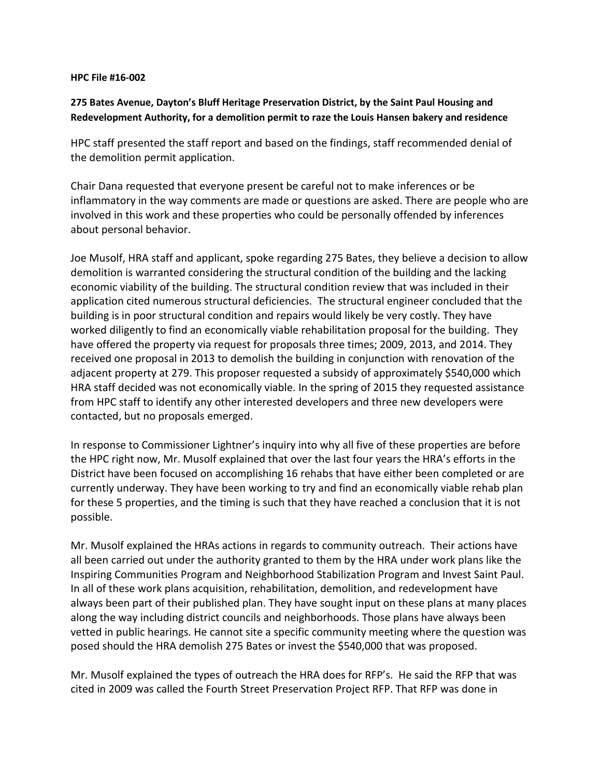## **HPC File #16-002**

## **275 Bates Avenue, Dayton's Bluff Heritage Preservation District, by the Saint Paul Housing and Redevelopment Authority, for a demolition permit to raze the Louis Hansen bakery and residence**

HPC staff presented the staff report and based on the findings, staff recommended denial of the demolition permit application.

Chair Dana requested that everyone present be careful not to make inferences or be inflammatory in the way comments are made or questions are asked. There are people who are involved in this work and these properties who could be personally offended by inferences about personal behavior.

Joe Musolf, HRA staff and applicant, spoke regarding 275 Bates, they believe a decision to allow demolition is warranted considering the structural condition of the building and the lacking economic viability of the building. The structural condition review that was included in their application cited numerous structural deficiencies. The structural engineer concluded that the building is in poor structural condition and repairs would likely be very costly. They have worked diligently to find an economically viable rehabilitation proposal for the building. They have offered the property via request for proposals three times; 2009, 2013, and 2014. They received one proposal in 2013 to demolish the building in conjunction with renovation of the adjacent property at 279. This proposer requested a subsidy of approximately \$540,000 which HRA staff decided was not economically viable. In the spring of 2015 they requested assistance from HPC staff to identify any other interested developers and three new developers were contacted, but no proposals emerged.

In response to Commissioner Lightner's inquiry into why all five of these properties are before the HPC right now, Mr. Musolf explained that over the last four years the HRA's efforts in the District have been focused on accomplishing 16 rehabs that have either been completed or are currently underway. They have been working to try and find an economically viable rehab plan for these 5 properties, and the timing is such that they have reached a conclusion that it is not possible.

Mr. Musolf explained the HRAs actions in regards to community outreach. Their actions have all been carried out under the authority granted to them by the HRA under work plans like the Inspiring Communities Program and Neighborhood Stabilization Program and Invest Saint Paul. In all of these work plans acquisition, rehabilitation, demolition, and redevelopment have always been part of their published plan. They have sought input on these plans at many places along the way including district councils and neighborhoods. Those plans have always been vetted in public hearings. He cannot site a specific community meeting where the question was posed should the HRA demolish 275 Bates or invest the \$540,000 that was proposed.

Mr. Musolf explained the types of outreach the HRA does for RFP's. He said the RFP that was cited in 2009 was called the Fourth Street Preservation Project RFP. That RFP was done in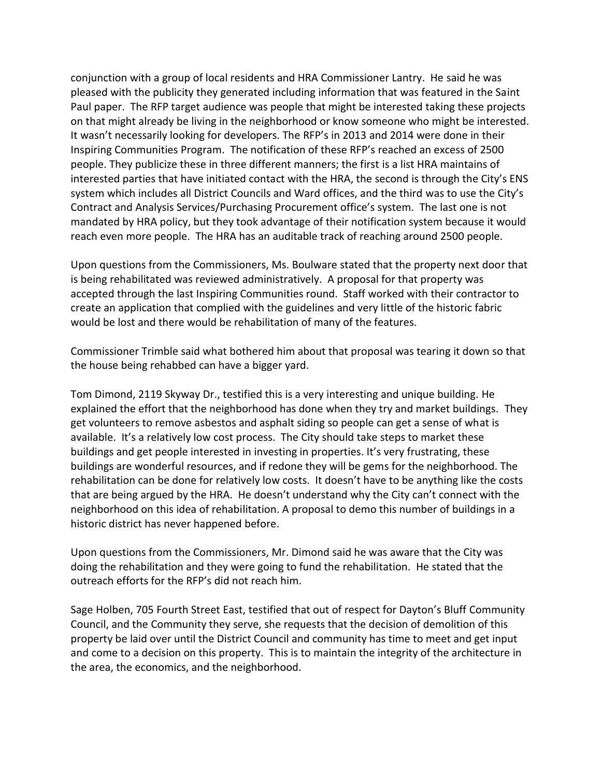conjunction with a group of local residents and HRA Commissioner Lantry. He said he was pleased with the publicity they generated including information that was featured in the Saint Paul paper. The RFP target audience was people that might be interested taking these projects on that might already be living in the neighborhood or know someone who might be interested. It wasn't necessarily looking for developers. The RFP's in 2013 and 2014 were done in their Inspiring Communities Program. The notification of these RFP's reached an excess of 2500 people. They publicize these in three different manners; the first is a list HRA maintains of interested parties that have initiated contact with the HRA, the second is through the City's ENS system which includes all District Councils and Ward offices, and the third was to use the City's Contract and Analysis Services/Purchasing Procurement office's system. The last one is not mandated by HRA policy, but they took advantage of their notification system because it would reach even more people. The HRA has an auditable track of reaching around 2500 people.

Upon questions from the Commissioners, Ms. Boulware stated that the property next door that is being rehabilitated was reviewed administratively. A proposal for that property was accepted through the last Inspiring Communities round. Staff worked with their contractor to create an application that complied with the guidelines and very little of the historic fabric would be lost and there would be rehabilitation of many of the features.

Commissioner Trimble said what bothered him about that proposal was tearing it down so that the house being rehabbed can have a bigger yard.

Tom Dimond, 2119 Skyway Dr., testified this is a very interesting and unique building. He explained the effort that the neighborhood has done when they try and market buildings. They get volunteers to remove asbestos and asphalt siding so people can get a sense of what is available. It's a relatively low cost process. The City should take steps to market these buildings and get people interested in investing in properties. It's very frustrating, these buildings are wonderful resources, and if redone they will be gems for the neighborhood. The rehabilitation can be done for relatively low costs. It doesn't have to be anything like the costs that are being argued by the HRA. He doesn't understand why the City can't connect with the neighborhood on this idea of rehabilitation. A proposal to demo this number of buildings in a historic district has never happened before.

Upon questions from the Commissioners, Mr. Dimond said he was aware that the City was doing the rehabilitation and they were going to fund the rehabilitation. He stated that the outreach efforts for the RFP's did not reach him.

Sage Holben, 705 Fourth Street East, testified that out of respect for Dayton's Bluff Community Council, and the Community they serve, she requests that the decision of demolition of this property be laid over until the District Council and community has time to meet and get input and come to a decision on this property. This is to maintain the integrity of the architecture in the area, the economics, and the neighborhood.